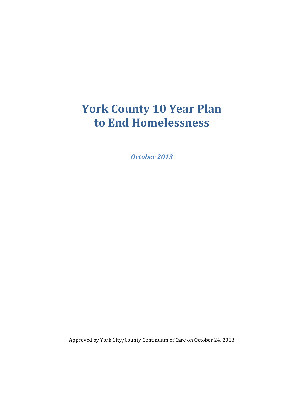# **York County 10 Year Plan to End Homelessness**

*October 2013*

Approved by York City/County Continuum of Care on October 24, 2013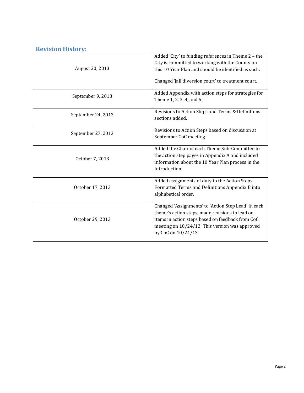# **Revision History:**

| August 20, 2013    | Added 'City' to funding references in Theme 2 - the<br>City is committed to working with the County on<br>this 10 Year Plan and should be identified as such.<br>Changed 'jail diversion court' to treatment court.                 |
|--------------------|-------------------------------------------------------------------------------------------------------------------------------------------------------------------------------------------------------------------------------------|
| September 9, 2013  | Added Appendix with action steps for strategies for<br>Theme 1, 2, 3, 4, and 5.                                                                                                                                                     |
| September 24, 2013 | Revisions to Action Steps and Terms & Definitions<br>sections added.                                                                                                                                                                |
| September 27, 2013 | Revisions to Action Steps based on discussion at<br>September CoC meeting.                                                                                                                                                          |
| October 7, 2013    | Added the Chair of each Theme Sub-Committee to<br>the action step pages in Appendix A and included<br>information about the 10 Year Plan process in the<br>Introduction.                                                            |
| October 17, 2013   | Added assignments of duty to the Action Steps.<br>Formatted Terms and Definitions Appendix B into<br>alphabetical order.                                                                                                            |
| October 29, 2013   | Changed 'Assignments' to 'Action Step Lead' in each<br>theme's action steps, made revisions to lead on<br>items in action steps based on feedback from CoC<br>meeting on 10/24/13. This version was approved<br>by CoC on 10/24/13. |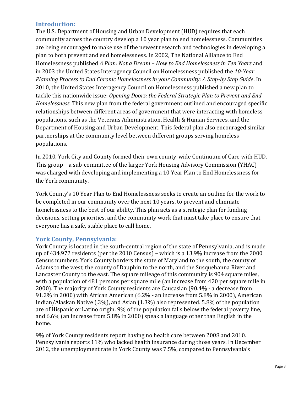## **Introduction:**

The U.S. Department of Housing and Urban Development (HUD) requires that each community across the country develop a 10 year plan to end homelessness. Communities are being encouraged to make use of the newest research and technologies in developing a plan to both prevent and end homelessness. In 2002, The National Alliance to End Homelessness published *A Plan: Not a Dream – How to End Homelessness in Ten Years* and in 2003 the United States Interagency Council on Homelessness published the *10-Year Planning Process to End Chronic Homelessness in your Community: A Step-by Step Guide*. In 2010, the United States Interagency Council on Homelessness published a new plan to tackle this nationwide issue: *Opening Doors: the Federal Strategic Plan to Prevent and End Homelessness.* This new plan from the federal government outlined and encouraged specific relationships between different areas of government that were interacting with homeless populations, such as the Veterans Administration, Health & Human Services, and the Department of Housing and Urban Development. This federal plan also encouraged similar partnerships at the community level between different groups serving homeless populations.

In 2010, York City and County formed their own county-wide Continuum of Care with HUD. This group – a sub-committee of the larger York Housing Advisory Commission (YHAC) – was charged with developing and implementing a 10 Year Plan to End Homelessness for the York community.

York County's 10 Year Plan to End Homelessness seeks to create an outline for the work to be completed in our community over the next 10 years, to prevent and eliminate homelessness to the best of our ability. This plan acts as a strategic plan for funding decisions, setting priorities, and the community work that must take place to ensure that everyone has a safe, stable place to call home.

## **York County, Pennsylvania:**

York County is located in the south-central region of the state of Pennsylvania, and is made up of 434,972 residents (per the 2010 Census) – which is a 13.9% increase from the 2000 Census numbers. York County borders the state of Maryland to the south, the county of Adams to the west, the county of Dauphin to the north, and the Susquehanna River and Lancaster County to the east. The square mileage of this community is 904 square miles, with a population of 481 persons per square mile (an increase from 420 per square mile in 2000). The majority of York County residents are Caucasian (90.4% - a decrease from 91.2% in 2000) with African American (6.2% - an increase from 5.8% in 2000), American Indian/Alaskan Native (.3%), and Asian (1.3%) also represented. 5.8% of the population are of Hispanic or Latino origin. 9% of the population falls below the federal poverty line, and 6.6% (an increase from 5.8% in 2000) speak a language other than English in the home.

9% of York County residents report having no health care between 2008 and 2010. Pennsylvania reports 11% who lacked health insurance during those years. In December 2012, the unemployment rate in York County was 7.5%, compared to Pennsylvania's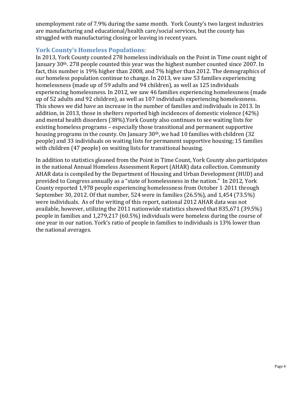unemployment rate of 7.9% during the same month. York County's two largest industries are manufacturing and educational/health care/social services, but the county has struggled with manufacturing closing or leaving in recent years.

# **York County's Homeless Populations:**

In 2013, York County counted 278 homeless individuals on the Point in Time count night of January 30th. 278 people counted this year was the highest number counted since 2007. In fact, this number is 19% higher than 2008, and 7% higher than 2012. The demographics of our homeless population continue to change. In 2013, we saw 53 families experiencing homelessness (made up of 59 adults and 94 children), as well as 125 individuals experiencing homelessness. In 2012, we saw 46 families experiencing homelessness (made up of 52 adults and 92 children), as well as 107 individuals experiencing homelessness. This shows we did have an increase in the number of families and individuals in 2013. In addition, in 2013, those in shelters reported high incidences of domestic violence (42%) and mental health disorders (38%).York County also continues to see waiting lists for existing homeless programs – especially those transitional and permanent supportive housing programs in the county. On January 30th, we had 10 families with children (32 people) and 33 individuals on waiting lists for permanent supportive housing; 15 families with children (47 people) on waiting lists for transitional housing.

In addition to statistics gleaned from the Point in Time Count, York County also participates in the national Annual Homeless Assessment Report (AHAR) data collection. Community AHAR data is compiled by the Department of Housing and Urban Development (HUD) and provided to Congress annually as a "state of homelessness in the nation." In 2012, York County reported 1,978 people experiencing homelessness from October  $1/2011$  through September 30, 2012. Of that number, 524 were in families (26.5%), and 1,454 (73.5%) were individuals. As of the writing of this report, national 2012 AHAR data was not available, however, utilizing the 2011 nationwide statistics showed that 835,671 (39.5%) people in families and 1,279,217 (60.5%) individuals were homeless during the course of one year in our nation. York's ratio of people in families to individuals is 13% lower than the national averages.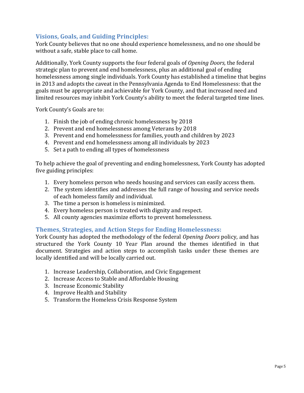# **Visions, Goals, and Guiding Principles:**

York County believes that no one should experience homelessness, and no one should be without a safe, stable place to call home.

Additionally, York County supports the four federal goals of *Opening Doors,* the federal strategic plan to prevent and end homelessness, plus an additional goal of ending homelessness among single individuals. York County has established a timeline that begins in 2013 and adopts the caveat in the Pennsylvania Agenda to End Homelessness: that the goals must be appropriate and achievable for York County, and that increased need and limited resources may inhibit York County's ability to meet the federal targeted time lines.

York County's Goals are to:

- 1. Finish the job of ending chronic homelessness by 2018
- 2. Prevent and end homelessness among Veterans by 2018
- 3. Prevent and end homelessness for families, youth and children by 2023
- 4. Prevent and end homelessness among all individuals by 2023
- 5. Set a path to ending all types of homelessness

To help achieve the goal of preventing and ending homelessness, York County has adopted five guiding principles:

- 1. Every homeless person who needs housing and services can easily access them.
- 2. The system identifies and addresses the full range of housing and service needs of each homeless family and individual.
- 3. The time a person is homeless is minimized.
- 4. Every homeless person is treated with dignity and respect.
- 5. All county agencies maximize efforts to prevent homelessness.

## **Themes, Strategies, and Action Steps for Ending Homelessness:**

York County has adopted the methodology of the federal *Opening Doors* policy, and has structured the York County 10 Year Plan around the themes identified in that document. Strategies and action steps to accomplish tasks under these themes are locally identified and will be locally carried out.

- 1. Increase Leadership, Collaboration, and Civic Engagement
- 2. Increase Access to Stable and Affordable Housing
- 3. Increase Economic Stability
- 4. Improve Health and Stability
- 5. Transform the Homeless Crisis Response System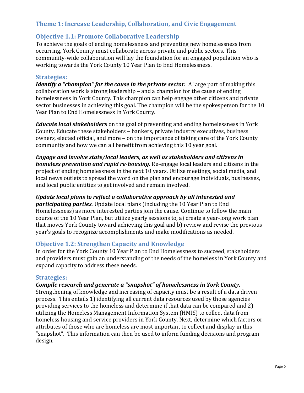# **Theme 1: Increase Leadership, Collaboration, and Civic Engagement**

# **Objective 1.1: Promote Collaborative Leadership**

To achieve the goals of ending homelessness and preventing new homelessness from occurring, York County must collaborate across private and public sectors. This community-wide collaboration will lay the foundation for an engaged population who is working towards the York County 10 Year Plan to End Homelessness.

## **Strategies:**

*Identify a "champion" for the cause in the private sector.* A large part of making this collaboration work is strong leadership – and a champion for the cause of ending homelessness in York County. This champion can help engage other citizens and private sector businesses in achieving this goal. The champion will be the spokesperson for the 10 Year Plan to End Homelessness in York County.

*Educate local stakeholders* on the goal of preventing and ending homelessness in York County. Educate these stakeholders – bankers, private industry executives, business owners, elected official, and more – on the importance of taking care of the York County community and how we can all benefit from achieving this 10 year goal.

*Engage and involve state/local leaders, as well as stakeholders and citizens in homeless prevention and rapid re-housing.* Re-engage local leaders and citizens in the project of ending homelessness in the next 10 years. Utilize meetings, social media, and local news outlets to spread the word on the plan and encourage individuals, businesses, and local public entities to get involved and remain involved.

#### *Update local plans to reflect a collaborative approach by all interested and*

*participating parties.* Update local plans (including the 10 Year Plan to End Homelessness) as more interested parties join the cause. Continue to follow the main course of the 10 Year Plan, but utilize yearly sessions to, a) create a year-long work plan that moves York County toward achieving this goal and b) review and revise the previous year's goals to recognize accomplishments and make modifications as needed.

## **Objective 1.2: Strengthen Capacity and Knowledge**

In order for the York County 10 Year Plan to End Homelessness to succeed, stakeholders and providers must gain an understanding of the needs of the homeless in York County and expand capacity to address these needs.

#### **Strategies:**

#### *Compile research and generate a "snapshot" of homelessness in York County.*

Strengthening of knowledge and increasing of capacity must be a result of a data driven process. This entails 1) identifying all current data resources used by those agencies providing services to the homeless and determine if that data can be compared and 2) utilizing the Homeless Management Information System (HMIS) to collect data from homeless housing and service providers in York County. Next, determine which factors or attributes of those who are homeless are most important to collect and display in this "snapshot". This information can then be used to inform funding decisions and program design.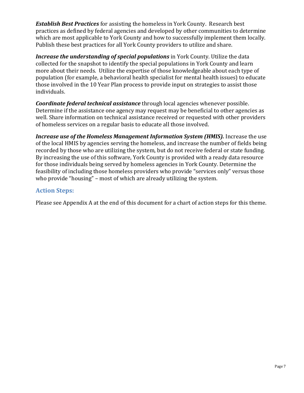*Establish Best Practices* for assisting the homeless in York County. Research best practices as defined by federal agencies and developed by other communities to determine which are most applicable to York County and how to successfully implement them locally. Publish these best practices for all York County providers to utilize and share.

*Increase the understanding of special populations* in York County. Utilize the data collected for the snapshot to identify the special populations in York County and learn more about their needs. Utilize the expertise of those knowledgeable about each type of population (for example, a behavioral health specialist for mental health issues) to educate those involved in the 10 Year Plan process to provide input on strategies to assist those individuals.

*Coordinate federal technical assistance* through local agencies whenever possible. Determine if the assistance one agency may request may be beneficial to other agencies as well. Share information on technical assistance received or requested with other providers of homeless services on a regular basis to educate all those involved.

*Increase use of the Homeless Management Information System (HMIS).* Increase the use of the local HMIS by agencies serving the homeless, and increase the number of fields being recorded by those who are utilizing the system, but do not receive federal or state funding. By increasing the use of this software, York County is provided with a ready data resource for those individuals being served by homeless agencies in York County. Determine the feasibility of including those homeless providers who provide "services only" versus those who provide "housing" – most of which are already utilizing the system.

# **Action Steps:**

Please see Appendix A at the end of this document for a chart of action steps for this theme.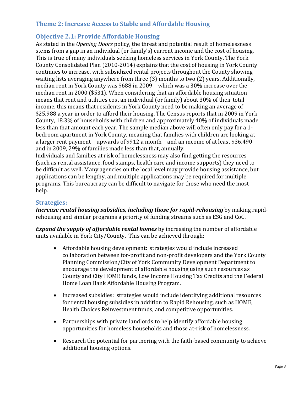# **Theme 2: Increase Access to Stable and Affordable Housing**

## **Objective 2.1: Provide Affordable Housing**

As stated in the *Opening Doors* policy, the threat and potential result of homelessness stems from a gap in an individual (or family's) current income and the cost of housing. This is true of many individuals seeking homeless services in York County. The York County Consolidated Plan (2010-2014) explains that the cost of housing in York County continues to increase, with subsidized rental projects throughout the County showing waiting lists averaging anywhere from three (3) months to two (2) years. Additionally, median rent in York County was \$688 in 2009 – which was a 30% increase over the median rent in 2000 (\$531). When considering that an affordable housing situation means that rent and utilities cost an individual (or family) about 30% of their total income, this means that residents in York County need to be making an average of \$25,988 a year in order to afford their housing. The Census reports that in 2009 in York County, 18.3% of households with children and approximately 40% of individuals made less than that amount each year. The sample median above will often only pay for a 1 bedroom apartment in York County, meaning that families with children are looking at a larger rent payment – upwards of \$912 a month – and an income of at least \$36,490 – and in 2009, 29% of families made less than that, annually.

Individuals and families at risk of homelessness may also find getting the resources (such as rental assistance, food stamps, health care and income supports) they need to be difficult as well. Many agencies on the local level may provide housing assistance, but applications can be lengthy, and multiple applications may be required for multiple programs. This bureaucracy can be difficult to navigate for those who need the most help.

## **Strategies:**

*Increase rental housing subsidies, including those for rapid***-***rehousing* by making rapidrehousing and similar programs a priority of funding streams such as ESG and CoC.

*Expand the supply of affordable rental homes* by increasing the number of affordable units available in York City/County. This can be achieved through:

- Affordable housing development: strategies would include increased collaboration between for-profit and non-profit developers and the York County Planning Commission/City of York Community Development Department to encourage the development of affordable housing using such resources as County and City HOME funds, Low Income Housing Tax Credits and the Federal Home Loan Bank Affordable Housing Program.
- Increased subsidies: strategies would include identifying additional resources for rental housing subsidies in addition to Rapid Rehousing, such as HOME, Health Choices Reinvestment funds, and competitive opportunities.
- Partnerships with private landlords to help identify affordable housing opportunities for homeless households and those at-risk of homelessness.
- Research the potential for partnering with the faith-based community to achieve additional housing options.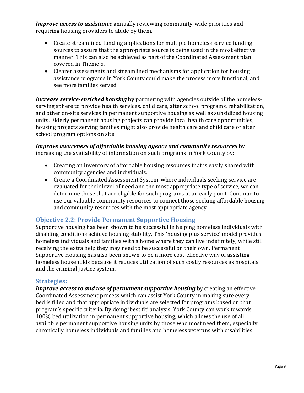*Improve access to assistance* annually reviewing community-wide priorities and requiring housing providers to abide by them.

- Create streamlined funding applications for multiple homeless service funding sources to assure that the appropriate source is being used in the most effective manner. This can also be achieved as part of the Coordinated Assessment plan covered in Theme 5.
- Clearer assessments and streamlined mechanisms for application for housing assistance programs in York County could make the process more functional, and see more families served.

*Increase service-enriched housing* by partnering with agencies outside of the homelessserving sphere to provide health services, child care, after school programs, rehabilitation, and other on-site services in permanent supportive housing as well as subsidized housing units. Elderly permanent housing projects can provide local health care opportunities, housing projects serving families might also provide health care and child care or after school program options on site.

*Improve awareness of affordable housing agency and community resources* by increasing the availability of information on such programs in York County by:

- Creating an inventory of affordable housing resources that is easily shared with community agencies and individuals.
- Create a Coordinated Assessment System, where individuals seeking service are evaluated for their level of need and the most appropriate type of service, we can determine those that are eligible for such programs at an early point. Continue to use our valuable community resources to connect those seeking affordable housing and community resources with the most appropriate agency.

# **Objective 2.2: Provide Permanent Supportive Housing**

Supportive housing has been shown to be successful in helping homeless individuals with disabling conditions achieve housing stability. This 'housing plus service' model provides homeless individuals and families with a home where they can live indefinitely, while still receiving the extra help they may need to be successful on their own. Permanent Supportive Housing has also been shown to be a more cost-effective way of assisting homeless households because it reduces utilization of such costly resources as hospitals and the criminal justice system.

## **Strategies:**

*Improve access to and use of permanent supportive housing* by creating an effective Coordinated Assessment process which can assist York County in making sure every bed is filled and that appropriate individuals are selected for programs based on that program's specific criteria. By doing 'best fit' analysis, York County can work towards 100% bed utilization in permanent supportive housing, which allows the use of all available permanent supportive housing units by those who most need them, especially chronically homeless individuals and families and homeless veterans with disabilities.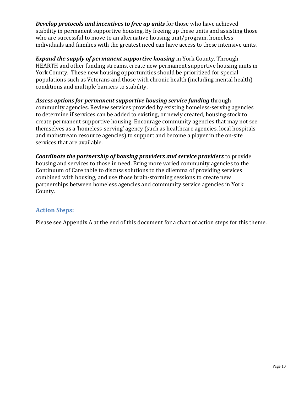*Develop protocols and incentives to free up units* for those who have achieved stability in permanent supportive housing. By freeing up these units and assisting those who are successful to move to an alternative housing unit/program, homeless individuals and families with the greatest need can have access to these intensive units.

*Expand the supply of permanent supportive housing* in York County. Through HEARTH and other funding streams, create new permanent supportive housing units in York County. These new housing opportunities should be prioritized for special populations such as Veterans and those with chronic health (including mental health) conditions and multiple barriers to stability.

*Assess options for permanent supportive housing service funding* through community agencies. Review services provided by existing homeless-serving agencies to determine if services can be added to existing, or newly created, housing stock to create permanent supportive housing. Encourage community agencies that may not see themselves as a 'homeless-serving' agency (such as healthcare agencies, local hospitals and mainstream resource agencies) to support and become a player in the on-site services that are available.

*Coordinate the partnership of housing providers and service providers* to provide housing and services to those in need. Bring more varied community agencies to the Continuum of Care table to discuss solutions to the dilemma of providing services combined with housing, and use those brain-storming sessions to create new partnerships between homeless agencies and community service agencies in York County.

# **Action Steps:**

Please see Appendix A at the end of this document for a chart of action steps for this theme.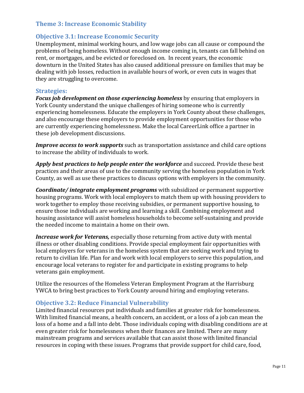## **Theme 3: Increase Economic Stability**

## **Objective 3.1: Increase Economic Security**

Unemployment, minimal working hours, and low wage jobs can all cause or compound the problems of being homeless. Without enough income coming in, tenants can fall behind on rent, or mortgages, and be evicted or foreclosed on. In recent years, the economic downturn in the United States has also caused additional pressure on families that may be dealing with job losses, reduction in available hours of work, or even cuts in wages that they are struggling to overcome.

#### **Strategies:**

*Focus job development on those experiencing homeless* by ensuring that employers in York County understand the unique challenges of hiring someone who is currently experiencing homelessness. Educate the employers in York County about these challenges, and also encourage these employers to provide employment opportunities for those who are currently experiencing homelessness. Make the local CareerLink office a partner in these job development discussions.

*Improve access to work supports* such as transportation assistance and child care options to increase the ability of individuals to work.

*Apply best practices to help people enter the workforce* and succeed. Provide these best practices and their areas of use to the community serving the homeless population in York County, as well as use these practices to discuss options with employers in the community.

*Coordinate/ integrate employment programs* with subsidized or permanent supportive housing programs. Work with local employers to match them up with housing providers to work together to employ those receiving subsidies, or permanent supportive housing, to ensure those individuals are working and learning a skill. Combining employment and housing assistance will assist homeless households to become self-sustaining and provide the needed income to maintain a home on their own.

*Increase work for Veterans,* especially those returning from active duty with mental illness or other disabling conditions. Provide special employment fair opportunities with local employers for veterans in the homeless system that are seeking work and trying to return to civilian life. Plan for and work with local employers to serve this population, and encourage local veterans to register for and participate in existing programs to help veterans gain employment.

Utilize the resources of the Homeless Veteran Employment Program at the Harrisburg YWCA to bring best practices to York County around hiring and employing veterans.

#### **Objective 3.2: Reduce Financial Vulnerability**

Limited financial resources put individuals and families at greater risk for homelessness. With limited financial means, a health concern, an accident, or a loss of a job can mean the loss of a home and a fall into debt. Those individuals coping with disabling conditions are at even greater risk for homelessness when their finances are limited. There are many mainstream programs and services available that can assist those with limited financial resources in coping with these issues. Programs that provide support for child care, food,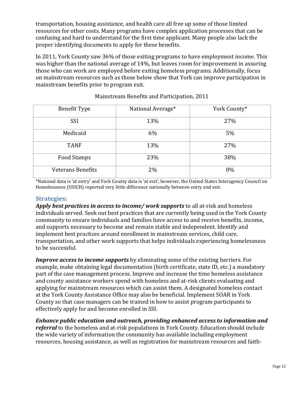transportation, housing assistance, and health care all free up some of those limited resources for other costs. Many programs have complex application processes that can be confusing and hard to understand for the first time applicant. Many people also lack the proper identifying documents to apply for these benefits.

In 2011, York County saw 36% of those exiting programs to have employment income. This was higher than the national average of 14%, but leaves room for improvement in assuring those who can work are employed before exiting homeless programs. Additionally, focus on mainstream resources such as those below show that York can improve participation in mainstream benefits prior to program exit.

| <b>Benefit Type</b>      | National Average* | York County* |
|--------------------------|-------------------|--------------|
| SSI                      | 13%               | 27%          |
| Medicaid                 | 6%                | 5%           |
| <b>TANF</b>              | 13%               | 27%          |
| Food Stamps              | 23%               | 38%          |
| <b>Veterans Benefits</b> | 2%                | $0\%$        |

Mainstream Benefits and Participation, 2011

\*National data is 'at entry' and York County data is 'at exit', however, the United States Interagency Council on Homelessness (USICH) reported very little difference nationally between entry and exit.

## **Strategies:**

*Apply best practices in access to income/ work supports* to all at-risk and homeless individuals served. Seek out best practices that are currently being used in the York County community to ensure individuals and families have access to and receive benefits, income, and supports necessary to become and remain stable and independent. Identify and implement best practices around enrollment in mainstream services, child care, transportation, and other work supports that helps individuals experiencing homelessness to be successful.

*Improve access to income supports* by eliminating some of the existing barriers. For example, make obtaining legal documentation (birth certificate, state ID, etc.) a mandatory part of the case management process. Improve and increase the time homeless assistance and county assistance workers spend with homeless and at-risk clients evaluating and applying for mainstream resources which can assist them. A designated homeless contact at the York County Assistance Office may also be beneficial. Implement SOAR in York County so that case managers can be trained in how to assist program participants to effectively apply for and become enrolled in SSI.

*Enhance public education and outreach, providing enhanced access to information and referral* to the homeless and at-risk populations in York County. Education should include the wide variety of information the community has available including employment resources, housing assistance, as well as registration for mainstream resources and faith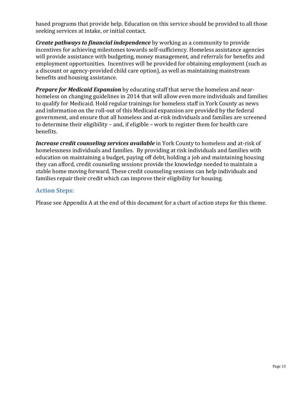based programs that provide help. Education on this service should be provided to all those seeking services at intake, or initial contact.

*Create pathways to financial independence* by working as a community to provide incentives for achieving milestones towards self-sufficiency. Homeless assistance agencies will provide assistance with budgeting, money management, and referrals for benefits and employment opportunities. Incentives will be provided for obtaining employment (such as a discount or agency-provided child care option), as well as maintaining mainstream benefits and housing assistance.

*Prepare for Medicaid Expansion* by educating staff that serve the homeless and nearhomeless on changing guidelines in 2014 that will allow even more individuals and families to qualify for Medicaid. Hold regular trainings for homeless staff in York County as news and information on the roll-out of this Medicaid expansion are provided by the federal government, and ensure that all homeless and at-risk individuals and families are screened to determine their eligibility – and, if eligible – work to register them for health care benefits.

*Increase credit counseling services available* in York County to homeless and at-risk of homelessness individuals and families. By providing at risk individuals and families with education on maintaining a budget, paying off debt, holding a job and maintaining housing they can afford, credit counseling sessions provide the knowledge needed to maintain a stable home moving forward. These credit counseling sessions can help individuals and families repair their credit which can improve their eligibility for housing.

# **Action Steps:**

Please see Appendix A at the end of this document for a chart of action steps for this theme.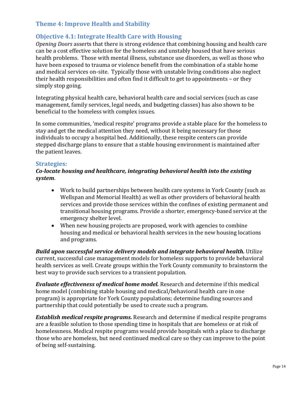# **Theme 4: Improve Health and Stability**

# **Objective 4.1: Integrate Health Care with Housing**

*Opening Doors* asserts that there is strong evidence that combining housing and health care can be a cost effective solution for the homeless and unstably housed that have serious health problems. Those with mental illness, substance use disorders, as well as those who have been exposed to trauma or violence benefit from the combination of a stable home and medical services on-site. Typically those with unstable living conditions also neglect their health responsibilities and often find it difficult to get to appointments – or they simply stop going.

Integrating physical health care, behavioral health care and social services (such as case management, family services, legal needs, and budgeting classes) has also shown to be beneficial to the homeless with complex issues.

In some communities, 'medical respite' programs provide a stable place for the homeless to stay and get the medical attention they need, without it being necessary for those individuals to occupy a hospital bed. Additionally, these respite centers can provide stepped discharge plans to ensure that a stable housing environment is maintained after the patient leaves.

#### **Strategies:**

#### *Co-locate housing and healthcare, integrating behavioral health into the existing system*.

- Work to build partnerships between health care systems in York County (such as Wellspan and Memorial Health) as well as other providers of behavioral health services and provide those services within the confines of existing permanent and transitional housing programs. Provide a shorter, emergency-based service at the emergency shelter level.
- When new housing projects are proposed, work with agencies to combine housing and medical or behavioral health services in the new housing locations and programs.

*Build upon successful service delivery models and integrate behavioral health.* Utilize current, successful case management models for homeless supports to provide behavioral health services as well. Create groups within the York County community to brainstorm the best way to provide such services to a transient population.

*Evaluate effectiveness of medical home model.* Research and determine if this medical home model (combining stable housing and medical/behavioral health care in one program) is appropriate for York County populations; determine funding sources and partnership that could potentially be used to create such a program.

*Establish medical respite programs.* Research and determine if medical respite programs are a feasible solution to those spending time in hospitals that are homeless or at risk of homelessness. Medical respite programs would provide hospitals with a place to discharge those who are homeless, but need continued medical care so they can improve to the point of being self-sustaining.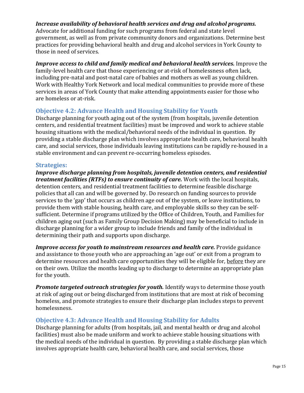## *Increase availability of behavioral health services and drug and alcohol programs.*

Advocate for additional funding for such programs from federal and state level government, as well as from private community donors and organizations. Determine best practices for providing behavioral health and drug and alcohol services in York County to those in need of services.

*Improve access to child and family medical and behavioral health services.* Improve the family-level health care that those experiencing or at-risk of homelessness often lack, including pre-natal and post-natal care of babies and mothers as well as young children. Work with Healthy York Network and local medical communities to provide more of these services in areas of York County that make attending appointments easier for those who are homeless or at-risk.

## **Objective 4.2: Advance Health and Housing Stability for Youth**

Discharge planning for youth aging out of the system (from hospitals, juvenile detention centers, and residential treatment facilities) must be improved and work to achieve stable housing situations with the medical/behavioral needs of the individual in question. By providing a stable discharge plan which involves appropriate health care, behavioral health care, and social services, those individuals leaving institutions can be rapidly re-housed in a stable environment and can prevent re-occurring homeless episodes.

#### **Strategies:**

*Improve discharge planning from hospitals, juvenile detention centers, and residential treatment facilities (RTFs) to ensure continuity of care.* Work with the local hospitals, detention centers, and residential treatment facilities to determine feasible discharge policies that all can and will be governed by. Do research on funding sources to provide services to the 'gap' that occurs as children age out of the system, or leave institutions, to provide them with stable housing, health care, and employable skills so they can be selfsufficient. Determine if programs utilized by the Office of Children, Youth, and Families for children aging out (such as Family Group Decision Making) may be beneficial to include in discharge planning for a wider group to include friends and family of the individual in determining their path and supports upon discharge.

*Improve access for youth to mainstream resources and health care.* Provide guidance and assistance to those youth who are approaching an 'age out' or exit from a program to determine resources and health care opportunities they will be eligible for, before they are on their own. Utilize the months leading up to discharge to determine an appropriate plan for the youth.

*Promote targeted outreach strategies for youth.* Identify ways to determine those youth at risk of aging out or being discharged from institutions that are most at risk of becoming homeless, and promote strategies to ensure their discharge plan includes steps to prevent homelessness.

## **Objective 4.3: Advance Health and Housing Stability for Adults**

Discharge planning for adults (from hospitals, jail, and mental health or drug and alcohol facilities) must also be made uniform and work to achieve stable housing situations with the medical needs of the individual in question. By providing a stable discharge plan which involves appropriate health care, behavioral health care, and social services, those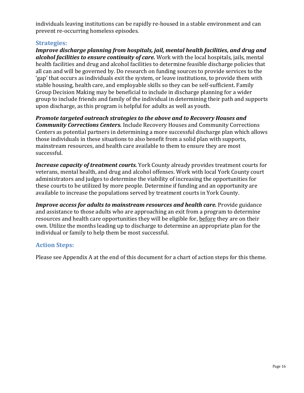individuals leaving institutions can be rapidly re-housed in a stable environment and can prevent re-occurring homeless episodes.

## **Strategies:**

*Improve discharge planning from hospitals, jail, mental health facilities, and drug and alcohol facilities to ensure continuity of care.* Work with the local hospitals, jails, mental health facilities and drug and alcohol facilities to determine feasible discharge policies that all can and will be governed by. Do research on funding sources to provide services to the 'gap' that occurs as individuals exit the system, or leave institutions, to provide them with stable housing, health care, and employable skills so they can be self-sufficient. Family Group Decision Making may be beneficial to include in discharge planning for a wider group to include friends and family of the individual in determining their path and supports upon discharge, as this program is helpful for adults as well as youth.

*Promote targeted outreach strategies to the above and to Recovery Houses and Community Corrections Centers.* Include Recovery Houses and Community Corrections Centers as potential partners in determining a more successful discharge plan which allows those individuals in these situations to also benefit from a solid plan with supports, mainstream resources, and health care available to them to ensure they are most successful.

*Increase capacity of treatment courts.* York County already provides treatment courts for veterans, mental health, and drug and alcohol offenses. Work with local York County court administrators and judges to determine the viability of increasing the opportunities for these courts to be utilized by more people. Determine if funding and an opportunity are available to increase the populations served by treatment courts in York County.

*Improve access for adults to mainstream resources and health care.* Provide guidance and assistance to those adults who are approaching an exit from a program to determine resources and health care opportunities they will be eligible for, before they are on their own. Utilize the months leading up to discharge to determine an appropriate plan for the individual or family to help them be most successful.

# **Action Steps:**

Please see Appendix A at the end of this document for a chart of action steps for this theme.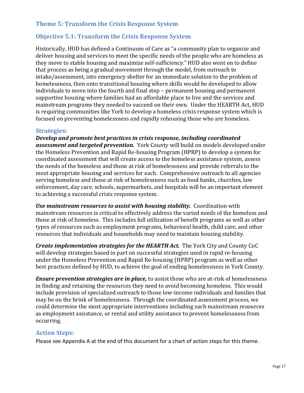# **Theme 5: Transform the Crisis Response System**

# **Objective 5.1: Transform the Crisis Response System**

Historically, HUD has defined a Continuum of Care as "a community plan to organize and deliver housing and services to meet the specific needs of the people who are homeless as they move to stable housing and maximize self-sufficiency." HUD also went on to define that process as being a gradual movement through the model, from outreach to intake/assessment, into emergency shelter for an immediate solution to the problem of homelessness, then onto transitional housing where skills would be developed to allow individuals to move into the fourth and final step – permanent housing and permanent supportive housing where families had an affordable place to live and the services and mainstream programs they needed to succeed on their own. Under the HEARTH Act, HUD is requiring communities like York to develop a homeless crisis response system which is focused on preventing homelessness and rapidly rehousing those who are homeless.

#### **Strategies:**

*Develop and promote best practices in crisis response, including coordinated assessment and targeted prevention.* York County will build on models developed under the Homeless Prevention and Rapid Re-housing Program (HPRP) to develop a system for coordinated assessment that will create access to the homeless assistance system, assess the needs of the homeless and those at risk of homelessness and provide referrals to the most appropriate housing and services for each. Comprehensive outreach to all agencies serving homeless and those at risk of homelessness such as food banks, churches, law enforcement, day care, schools, supermarkets, and hospitals will be an important element to achieving a successful crisis response system.

*Use mainstream resources to assist with housing stability.* Coordination with mainstream resources is critical to effectively address the varied needs of the homeless and those at risk of homeless. This includes full utilization of benefit programs as well as other types of resources such as employment programs, behavioral health, child care, and other resources that individuals and households may need to maintain housing stability.

*Create implementation strategies for the HEARTH Act.* The York City and County CoC will develop strategies based in part on successful strategies used in rapid re-housing under the Homeless Prevention and Rapid Re-housing (HPRP) program as well as other best practices defined by HUD, to achieve the goal of ending homelessness in York County.

*Ensure prevention strategies are in place,* to assist those who are at-risk of homelessness in finding and retaining the resources they need to avoid becoming homeless. This would include provision of specialized outreach to those low-income individuals and families that may be on the brink of homelessness. Through the coordinated assessment process, we could determine the most appropriate interventions including such mainstream resources as employment assistance, or rental and utility assistance to prevent homelessness from occurring.

## **Action Steps:**

Please see Appendix A at the end of this document for a chart of action steps for this theme.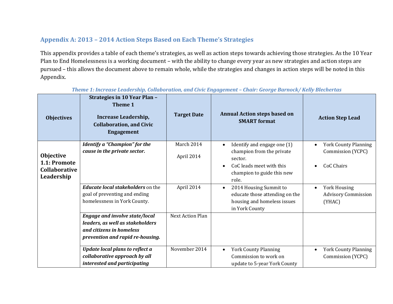# **Appendix A: 2013 – 2014 Action Steps Based on Each Theme's Strategies**

This appendix provides a table of each theme's strategies, as well as action steps towards achieving those strategies. As the 10 Year Plan to End Homelessness is a working document – with the ability to change every year as new strategies and action steps are pursued – this allows the document above to remain whole, while the strategies and changes in action steps will be noted in this Appendix.

| <b>Objectives</b>                                               | <b>Strategies in 10 Year Plan -</b><br>Theme 1<br>Increase Leadership,<br><b>Collaboration, and Civic</b><br><b>Engagement</b>            | <b>Target Date</b>       | <b>Annual Action steps based on</b><br><b>SMART</b> format                                                                                          | <b>Action Step Lead</b>                                                            |
|-----------------------------------------------------------------|-------------------------------------------------------------------------------------------------------------------------------------------|--------------------------|-----------------------------------------------------------------------------------------------------------------------------------------------------|------------------------------------------------------------------------------------|
| Objective<br>1.1: Promote<br><b>Collaborative</b><br>Leadership | Identify a "Champion" for the<br>cause in the private sector.                                                                             | March 2014<br>April 2014 | Identify and engage one (1)<br>$\bullet$<br>champion from the private<br>sector.<br>CoC leads meet with this<br>champion to guide this new<br>role. | <b>York County Planning</b><br>$\bullet$<br>Commission (YCPC)<br><b>CoC Chairs</b> |
|                                                                 | <b>Educate local stakeholders</b> on the<br>goal of preventing and ending<br>homelessness in York County.                                 | April 2014               | 2014 Housing Summit to<br>$\bullet$<br>educate those attending on the<br>housing and homeless issues<br>in York County                              | <b>York Housing</b><br>$\bullet$<br><b>Advisory Commission</b><br>(YHAC)           |
|                                                                 | <b>Engage and involve state/local</b><br>leaders, as well as stakeholders<br>and citizens in homeless<br>prevention and rapid re-housing. | Next Action Plan         |                                                                                                                                                     |                                                                                    |
|                                                                 | <b>Update local plans to reflect a</b><br>collaborative approach by all<br>interested and participating                                   | November 2014            | <b>York County Planning</b><br>Commission to work on<br>update to 5-year York County                                                                | <b>York County Planning</b><br>$\bullet$<br>Commission (YCPC)                      |

*Theme 1: Increase Leadership, Collaboration, and Civic Engagement – Chair: George Barnock/ Kelly Blechertas*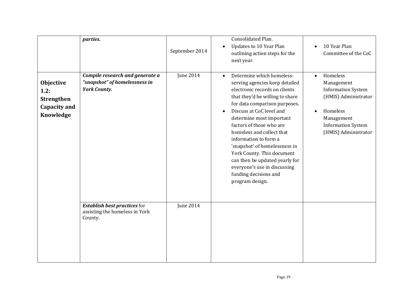|                                                                     | parties.                                                                                | September 2014   | Consolidated Plan.<br><b>Updates to 10 Year Plan</b><br>outlining action steps for the<br>next year.                                                                                                                                                                                                                                                                                                                                                                                                 | 10 Year Plan<br>Committee of the CoC                                                                                                                                                 |
|---------------------------------------------------------------------|-----------------------------------------------------------------------------------------|------------------|------------------------------------------------------------------------------------------------------------------------------------------------------------------------------------------------------------------------------------------------------------------------------------------------------------------------------------------------------------------------------------------------------------------------------------------------------------------------------------------------------|--------------------------------------------------------------------------------------------------------------------------------------------------------------------------------------|
| Objective<br>1.2:<br><b>Strengthen</b><br>Capacity and<br>Knowledge | Compile research and generate a<br>"snapshot" of homelessness in<br><b>York County.</b> | <b>June 2014</b> | Determine which homeless-<br>$\bullet$<br>serving agencies keep detailed<br>electronic records on clients<br>that they'd be willing to share<br>for data comparison purposes.<br>Discuss at CoC level and<br>determine most important<br>factors of those who are<br>homeless and collect that<br>information to form a<br>'snapshot' of homelessness in<br>York County. This document<br>can then be updated yearly for<br>everyone's use in discussing<br>funding decisions and<br>program design. | Homeless<br>$\bullet$<br>Management<br><b>Information System</b><br>(HMIS) Administrator<br>Homeless<br>$\bullet$<br>Management<br><b>Information System</b><br>(HMIS) Administrator |
|                                                                     | <b>Establish best practices for</b><br>assisting the homeless in York<br>County.        | <b>June 2014</b> |                                                                                                                                                                                                                                                                                                                                                                                                                                                                                                      |                                                                                                                                                                                      |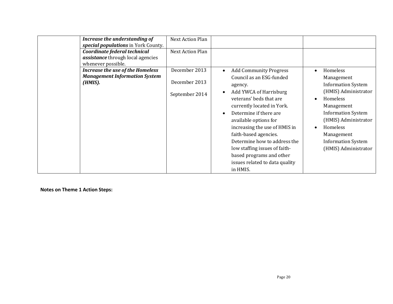| Increase the understanding of<br>special populations in York County.<br>Coordinate federal technical<br><i>assistance</i> through local agencies<br>whenever possible. | <b>Next Action Plan</b><br><b>Next Action Plan</b> |                                                                                                                                                                                                                                                                                                                                                                                                                                           |                                                                                                                                                                                                                                                                     |
|------------------------------------------------------------------------------------------------------------------------------------------------------------------------|----------------------------------------------------|-------------------------------------------------------------------------------------------------------------------------------------------------------------------------------------------------------------------------------------------------------------------------------------------------------------------------------------------------------------------------------------------------------------------------------------------|---------------------------------------------------------------------------------------------------------------------------------------------------------------------------------------------------------------------------------------------------------------------|
| <b>Increase the use of the Homeless</b><br><b>Management Information System</b><br>(HMIS).                                                                             | December 2013<br>December 2013<br>September 2014   | <b>Add Community Progress</b><br>$\bullet$<br>Council as an ESG-funded<br>agency.<br>Add YWCA of Harrisburg<br>veterans' beds that are<br>currently located in York.<br>Determine if there are<br>$\bullet$<br>available options for<br>increasing the use of HMIS in<br>faith-based agencies.<br>Determine how to address the<br>low staffing issues of faith-<br>based programs and other<br>issues related to data quality<br>in HMIS. | Homeless<br>$\bullet$<br>Management<br><b>Information System</b><br>(HMIS) Administrator<br>Homeless<br>Management<br><b>Information System</b><br>(HMIS) Administrator<br>Homeless<br>$\bullet$<br>Management<br><b>Information System</b><br>(HMIS) Administrator |

**Notes on Theme 1 Action Steps:**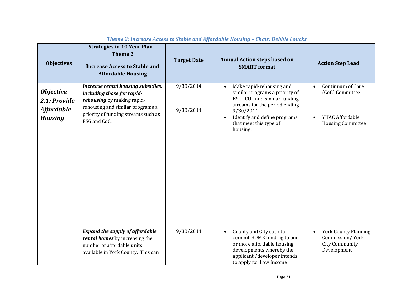| <b>Objectives</b>                                                       | <b>Strategies in 10 Year Plan -</b><br>Theme 2<br><b>Increase Access to Stable and</b><br><b>Affordable Housing</b>                                                                       | <b>Target Date</b>     | <b>Annual Action steps based on</b><br><b>SMART</b> format                                                                                                                                                                   | <b>Action Step Lead</b>                                                                             |
|-------------------------------------------------------------------------|-------------------------------------------------------------------------------------------------------------------------------------------------------------------------------------------|------------------------|------------------------------------------------------------------------------------------------------------------------------------------------------------------------------------------------------------------------------|-----------------------------------------------------------------------------------------------------|
| <b>Objective</b><br>2.1: Provide<br><b>Affordable</b><br><b>Housing</b> | Increase rental housing subsidies,<br>including those for rapid-<br>rehousing by making rapid-<br>rehousing and similar programs a<br>priority of funding streams such as<br>ESG and CoC. | 9/30/2014<br>9/30/2014 | Make rapid-rehousing and<br>similar programs a priority of<br>ESG, COC and similar funding<br>streams for the period ending<br>9/30/2014.<br>Identify and define programs<br>$\bullet$<br>that meet this type of<br>housing. | Continnum of Care<br>$\bullet$<br>(CoC) Committee<br>YHAC Affordable<br><b>Housing Committee</b>    |
|                                                                         | <b>Expand the supply of affordable</b><br>rental homes by increasing the<br>number of affordable units<br>available in York County. This can                                              | 9/30/2014              | County and City each to<br>$\bullet$<br>commit HOME funding to one<br>or more affordable housing<br>developments whereby the<br>applicant /developer intends<br>to apply for Low Income                                      | <b>York County Planning</b><br>$\bullet$<br>Commission/York<br><b>City Community</b><br>Development |

# *Theme 2: Increase Access to Stable and Affordable Housing – Chair: Debbie Loucks*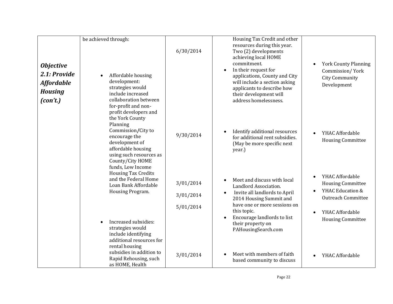| <b>Objective</b><br>2.1: Provide<br><b>Affordable</b> | be achieved through:<br>Affordable housing<br>development:<br>strategies would                                                                                                                                                                          | 6/30/2014                           | Housing Tax Credit and other<br>resources during this year.<br>Two (2) developments<br>achieving local HOME<br>commitment.<br>In their request for<br>$\bullet$<br>applications, County and City<br>will include a section asking<br>applicants to describe how                   | <b>York County Planning</b><br>Commission/York<br><b>City Community</b><br>Development                                                                   |
|-------------------------------------------------------|---------------------------------------------------------------------------------------------------------------------------------------------------------------------------------------------------------------------------------------------------------|-------------------------------------|-----------------------------------------------------------------------------------------------------------------------------------------------------------------------------------------------------------------------------------------------------------------------------------|----------------------------------------------------------------------------------------------------------------------------------------------------------|
| <b>Housing</b><br>(con't.)                            | include increased<br>collaboration between<br>for-profit and non-<br>profit developers and<br>the York County<br>Planning<br>Commission/City to<br>encourage the<br>development of<br>affordable housing<br>using such resources as<br>County/City HOME | 9/30/2014                           | their development will<br>address homelessness.<br>Identify additional resources<br>$\bullet$<br>for additional rent subsidies.<br>(May be more specific next<br>year.)                                                                                                           | YHAC Affordable<br><b>Housing Committee</b>                                                                                                              |
|                                                       | funds, Low Income<br><b>Housing Tax Credits</b><br>and the Federal Home<br>Loan Bank Affordable<br>Housing Program.<br>Increased subsidies:<br>strategies would<br>include identifying<br>additional resources for<br>rental housing                    | 3/01/2014<br>3/01/2014<br>5/01/2014 | Meet and discuss with local<br>$\bullet$<br>Landlord Association.<br>Invite all landlords to April<br>$\bullet$<br>2014 Housing Summit and<br>have one or more sessions on<br>this topic.<br>Encourage landlords to list<br>$\bullet$<br>their property on<br>PAHousingSearch.com | YHAC Affordable<br>$\bullet$<br><b>Housing Committee</b><br>YHAC Education &<br><b>Outreach Committee</b><br>YHAC Affordable<br><b>Housing Committee</b> |
|                                                       | subsidies in addition to<br>Rapid Rehousing, such<br>as HOME, Health                                                                                                                                                                                    | 3/01/2014                           | Meet with members of faith<br>$\bullet$<br>based community to discuss                                                                                                                                                                                                             | YHAC Affordable<br>$\bullet$                                                                                                                             |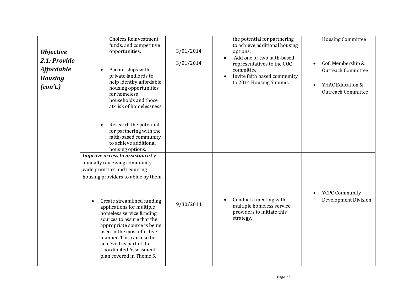| <b>Objective</b><br>2.1: Provide<br><b>Affordable</b><br><b>Housing</b><br>(con't.) | <b>Choices Reinvestment</b><br>funds, and competitive<br>opportunities.<br>Partnerships with<br>private landlords to<br>help identify affordable<br>housing opportunities<br>for homeless<br>households and those<br>at-risk of homelessness.<br>Research the potential<br>for partnering with the<br>faith-based community<br>to achieve additional<br>housing options.                                                                                    | 3/01/2014<br>3/01/2014 | the potential for partnering<br>to achieve additional housing<br>options.<br>Add one or two faith-based<br>representatives to the COC<br>committee.<br>Invite faith based community<br>$\bullet$<br>to 2014 Housing Summit. | <b>Housing Committee</b><br>CoC Membership &<br>$\bullet$<br><b>Outreach Committee</b><br>YHAC Education &<br>$\bullet$<br><b>Outreach Committee</b> |
|-------------------------------------------------------------------------------------|-------------------------------------------------------------------------------------------------------------------------------------------------------------------------------------------------------------------------------------------------------------------------------------------------------------------------------------------------------------------------------------------------------------------------------------------------------------|------------------------|-----------------------------------------------------------------------------------------------------------------------------------------------------------------------------------------------------------------------------|------------------------------------------------------------------------------------------------------------------------------------------------------|
|                                                                                     | Improve access to assistance by<br>annually reviewing community-<br>wide priorities and requiring<br>housing providers to abide by them.<br>Create streamlined funding<br>$\bullet$<br>applications for multiple<br>homeless service funding<br>sources to assure that the<br>appropriate source is being<br>used in the most effective<br>manner. This can also be<br>achieved as part of the<br><b>Coordinated Assessment</b><br>plan covered in Theme 5. | 9/30/2014              | Conduct a meeting with<br>$\bullet$<br>multiple homeless service<br>providers to initiate this<br>strategy.                                                                                                                 | <b>YCPC Community</b><br><b>Development Division</b>                                                                                                 |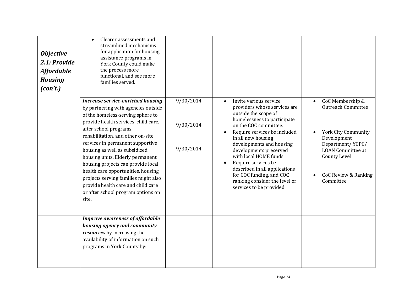| <b>Objective</b><br>2.1: Provide<br><b>Affordable</b><br><b>Housing</b><br>(con't.) | Clearer assessments and<br>$\bullet$<br>streamlined mechanisms<br>for application for housing<br>assistance programs in<br>York County could make<br>the process more<br>functional, and see more<br>families served.<br><b>Increase service-enriched housing</b><br>by partnering with agencies outside<br>of the homeless-serving sphere to<br>provide health services, child care,<br>after school programs,<br>rehabilitation, and other on-site<br>services in permanent supportive<br>housing as well as subsidized<br>housing units. Elderly permanent<br>housing projects can provide local<br>health care opportunities, housing<br>projects serving families might also<br>provide health care and child care<br>or after school program options on<br>site. | 9/30/2014<br>9/30/2014<br>9/30/2014 | Invite various service<br>$\bullet$<br>providers whose services are<br>outside the scope of<br>homelessness to participate<br>on the COC committee.<br>Require services be included<br>in all new housing<br>developments and housing<br>developments preserved<br>with local HOME funds.<br>Require services be<br>described in all applications<br>for COC funding, and COC<br>ranking consider the level of<br>services to be provided. | CoC Membership &<br><b>Outreach Committee</b><br><b>York City Community</b><br>Development<br>Department/YCPC/<br><b>LOAN</b> Committee at<br><b>County Level</b><br>CoC Review & Ranking<br>Committee |
|-------------------------------------------------------------------------------------|------------------------------------------------------------------------------------------------------------------------------------------------------------------------------------------------------------------------------------------------------------------------------------------------------------------------------------------------------------------------------------------------------------------------------------------------------------------------------------------------------------------------------------------------------------------------------------------------------------------------------------------------------------------------------------------------------------------------------------------------------------------------|-------------------------------------|--------------------------------------------------------------------------------------------------------------------------------------------------------------------------------------------------------------------------------------------------------------------------------------------------------------------------------------------------------------------------------------------------------------------------------------------|--------------------------------------------------------------------------------------------------------------------------------------------------------------------------------------------------------|
|                                                                                     | <b>Improve awareness of affordable</b><br>housing agency and community<br>resources by increasing the<br>availability of information on such<br>programs in York County by:                                                                                                                                                                                                                                                                                                                                                                                                                                                                                                                                                                                            |                                     |                                                                                                                                                                                                                                                                                                                                                                                                                                            |                                                                                                                                                                                                        |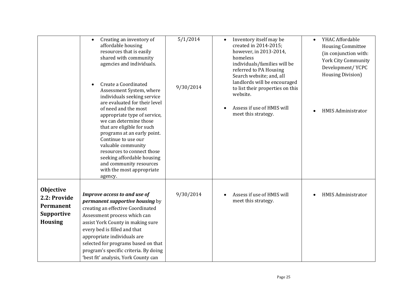|                                                                                      | Creating an inventory of<br>$\bullet$<br>affordable housing<br>resources that is easily<br>shared with community<br>agencies and individuals.<br>Create a Coordinated<br>Assessment System, where<br>individuals seeking service<br>are evaluated for their level<br>of need and the most<br>appropriate type of service,<br>we can determine those<br>that are eligible for such<br>programs at an early point.<br>Continue to use our<br>valuable community<br>resources to connect those<br>seeking affordable housing<br>and community resources<br>with the most appropriate<br>agency. | 5/1/2014<br>9/30/2014 | Inventory itself may be<br>$\bullet$<br>created in 2014-2015;<br>however, in 2013-2014,<br>homeless<br>individuals/families will be<br>referred to PA Housing<br>Search website; and, all<br>landlords will be encouraged<br>to list their properties on this<br>website.<br>Assess if use of HMIS will<br>meet this strategy. | YHAC Affordable<br>$\bullet$<br><b>Housing Committee</b><br>(in conjunction with:<br><b>York City Community</b><br>Development/YCPC<br><b>Housing Division</b> )<br><b>HMIS Administrator</b> |
|--------------------------------------------------------------------------------------|----------------------------------------------------------------------------------------------------------------------------------------------------------------------------------------------------------------------------------------------------------------------------------------------------------------------------------------------------------------------------------------------------------------------------------------------------------------------------------------------------------------------------------------------------------------------------------------------|-----------------------|--------------------------------------------------------------------------------------------------------------------------------------------------------------------------------------------------------------------------------------------------------------------------------------------------------------------------------|-----------------------------------------------------------------------------------------------------------------------------------------------------------------------------------------------|
| <b>Objective</b><br>2.2: Provide<br>Permanent<br><b>Supportive</b><br><b>Housing</b> | Improve access to and use of<br>permanent supportive housing by<br>creating an effective Coordinated<br>Assessment process which can<br>assist York County in making sure<br>every bed is filled and that<br>appropriate individuals are<br>selected for programs based on that<br>program's specific criteria. By doing<br>'best fit' analysis, York County can                                                                                                                                                                                                                             | 9/30/2014             | Assess if use of HMIS will<br>meet this strategy.                                                                                                                                                                                                                                                                              | <b>HMIS Administrator</b>                                                                                                                                                                     |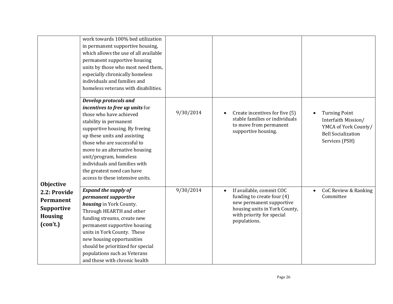|                                                                              | work towards 100% bed utilization<br>in permanent supportive housing,<br>which allows the use of all available<br>permanent supportive housing<br>units by those who most need them,<br>especially chronically homeless<br>individuals and families and<br>homeless veterans with disabilities.                                                                                      |           |                                                                                                                                                                               |                                                                                                                    |
|------------------------------------------------------------------------------|--------------------------------------------------------------------------------------------------------------------------------------------------------------------------------------------------------------------------------------------------------------------------------------------------------------------------------------------------------------------------------------|-----------|-------------------------------------------------------------------------------------------------------------------------------------------------------------------------------|--------------------------------------------------------------------------------------------------------------------|
| <b>Objective</b>                                                             | <b>Develop protocols and</b><br>incentives to free up units for<br>those who have achieved<br>stability in permanent<br>supportive housing. By freeing<br>up these units and assisting<br>those who are successful to<br>move to an alternative housing<br>unit/program, homeless<br>individuals and families with<br>the greatest need can have<br>access to these intensive units. | 9/30/2014 | Create incentives for five (5)<br>$\bullet$<br>stable families or individuals<br>to move from permanent<br>supportive housing.                                                | <b>Turning Point</b><br>Interfaith Mission/<br>YMCA of York County/<br><b>Bell Socialization</b><br>Services (PSH) |
| 2.2: Provide<br>Permanent<br><b>Supportive</b><br><b>Housing</b><br>(con't.) | <b>Expand the supply of</b><br>permanent supportive<br>housing in York County.<br>Through HEARTH and other<br>funding streams, create new<br>permanent supportive housing<br>units in York County. These<br>new housing opportunities<br>should be prioritized for special<br>populations such as Veterans<br>and those with chronic health                                          | 9/30/2014 | If available, commit COC<br>$\bullet$<br>funding to create four (4)<br>new permanent supportive<br>housing units in York County,<br>with priority for special<br>populations. | CoC Review & Ranking<br>$\bullet$<br>Committee                                                                     |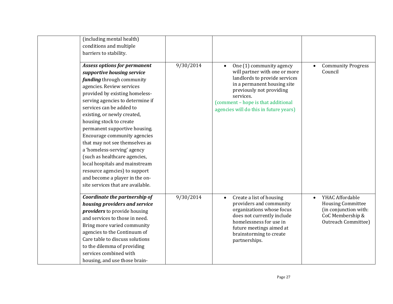| (including mental health)<br>conditions and multiple<br>barriers to stability.                                                                                                                                                                                                                                                                                                                                                                                                                                                                                                                              |           |                                                                                                                                                                                                                                                    |                                                                                                                        |
|-------------------------------------------------------------------------------------------------------------------------------------------------------------------------------------------------------------------------------------------------------------------------------------------------------------------------------------------------------------------------------------------------------------------------------------------------------------------------------------------------------------------------------------------------------------------------------------------------------------|-----------|----------------------------------------------------------------------------------------------------------------------------------------------------------------------------------------------------------------------------------------------------|------------------------------------------------------------------------------------------------------------------------|
| <b>Assess options for permanent</b><br>supportive housing service<br><i>funding</i> through community<br>agencies. Review services<br>provided by existing homeless-<br>serving agencies to determine if<br>services can be added to<br>existing, or newly created,<br>housing stock to create<br>permanent supportive housing.<br>Encourage community agencies<br>that may not see themselves as<br>a 'homeless-serving' agency<br>(such as healthcare agencies,<br>local hospitals and mainstream<br>resource agencies) to support<br>and become a player in the on-<br>site services that are available. | 9/30/2014 | One (1) community agency<br>will partner with one or more<br>landlords to provide services<br>in a permanent housing site<br>previously not providing<br>services.<br>(comment - hope is that additional<br>agencies will do this in future years) | <b>Community Progress</b><br>Council                                                                                   |
| Coordinate the partnership of<br>housing providers and service<br><i>providers</i> to provide housing<br>and services to those in need.<br>Bring more varied community<br>agencies to the Continuum of<br>Care table to discuss solutions<br>to the dilemma of providing<br>services combined with<br>housing, and use those brain-                                                                                                                                                                                                                                                                         | 9/30/2014 | Create a list of housing<br>$\bullet$<br>providers and community<br>organizations whose focus<br>does not currently include<br>homelessness for use in<br>future meetings aimed at<br>brainstorming to create<br>partnerships.                     | YHAC Affordable<br><b>Housing Committee</b><br>(in conjunction with:<br>CoC Membership &<br><b>Outreach Committee)</b> |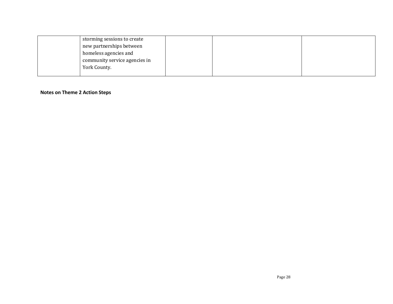| storming sessions to create   |  |  |
|-------------------------------|--|--|
| new partnerships between      |  |  |
| homeless agencies and         |  |  |
| community service agencies in |  |  |
| York County.                  |  |  |
|                               |  |  |

#### **Notes on Theme 2 Action Steps**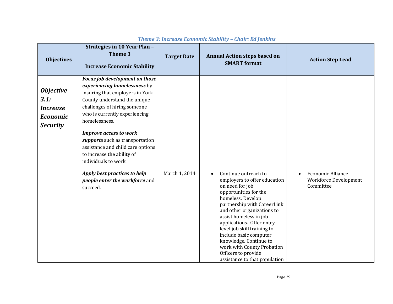| <b>Objectives</b>                                                                 | Strategies in 10 Year Plan -<br>Theme 3<br><b>Increase Economic Stability</b>                                                                                                                                       | <b>Target Date</b> | <b>Annual Action steps based on</b><br><b>SMART</b> format                                                                                                                                                                                                                                                                                                                                                                      | <b>Action Step Lead</b>                                                     |
|-----------------------------------------------------------------------------------|---------------------------------------------------------------------------------------------------------------------------------------------------------------------------------------------------------------------|--------------------|---------------------------------------------------------------------------------------------------------------------------------------------------------------------------------------------------------------------------------------------------------------------------------------------------------------------------------------------------------------------------------------------------------------------------------|-----------------------------------------------------------------------------|
| <b>Objective</b><br>3.1:<br><b>Increase</b><br><b>Economic</b><br><b>Security</b> | Focus job development on those<br>experiencing homelessness by<br>insuring that employers in York<br>County understand the unique<br>challenges of hiring someone<br>who is currently experiencing<br>homelessness. |                    |                                                                                                                                                                                                                                                                                                                                                                                                                                 |                                                                             |
|                                                                                   | <b>Improve access to work</b><br>supports such as transportation<br>assistance and child care options<br>to increase the ability of<br>individuals to work.                                                         |                    |                                                                                                                                                                                                                                                                                                                                                                                                                                 |                                                                             |
|                                                                                   | Apply best practices to help<br>people enter the workforce and<br>succeed.                                                                                                                                          | March 1, 2014      | Continue outreach to<br>$\bullet$<br>employers to offer education<br>on need for job<br>opportunities for the<br>homeless. Develop<br>partnership with CareerLink<br>and other organizations to<br>assist homeless in job<br>applications. Offer entry<br>level job skill training to<br>include basic computer<br>knowledge. Continue to<br>work with County Probation<br>Officers to provide<br>assistance to that population | <b>Economic Alliance</b><br>$\bullet$<br>Workforce Development<br>Committee |

#### *Theme 3: Increase Economic Stability – Chair: Ed Jenkins*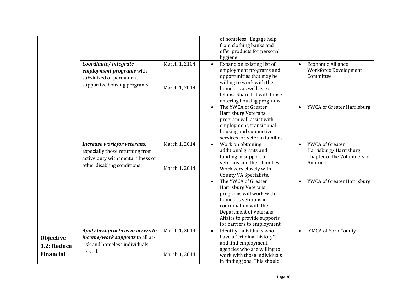|                                                     | Coordinate/integrate<br>employment programs with<br>subsidized or permanent<br>supportive housing programs.                         | March 1, 2104<br>March 1, 2014 | of homeless. Engage help<br>from clothing banks and<br>offer products for personal<br>hygiene.<br>Expand on existing list of<br>$\bullet$<br>employment programs and<br>opportunities that may be<br>willing to work with the<br>homeless as well as ex-<br>felons. Share list with those<br>entering housing programs.<br>The YWCA of Greater<br>$\bullet$<br>Harrisburg Veterans<br>program will assist with<br>employment, transitional<br>housing and supportive<br>services for veteran families. | <b>Economic Alliance</b><br>$\bullet$<br>Workforce Development<br>Committee<br>YWCA of Greater Harrisburg                      |
|-----------------------------------------------------|-------------------------------------------------------------------------------------------------------------------------------------|--------------------------------|--------------------------------------------------------------------------------------------------------------------------------------------------------------------------------------------------------------------------------------------------------------------------------------------------------------------------------------------------------------------------------------------------------------------------------------------------------------------------------------------------------|--------------------------------------------------------------------------------------------------------------------------------|
|                                                     | Increase work for veterans,<br>especially those returning from<br>active duty with mental illness or<br>other disabling conditions. | March 1, 2014<br>March 1, 2014 | Work on obtaining<br>$\bullet$<br>additional grants and<br>funding in support of<br>veterans and their families.<br>Work very closely with<br>County VA Specialists.<br>The YWCA of Greater<br>$\bullet$<br>Harrisburg Veterans<br>programs will work with<br>homeless veterans in<br>coordination with the<br>Department of Veterans<br>Affairs to provide supports<br>for barriers to employment.                                                                                                    | YWCA of Greater<br>$\bullet$<br>Harrisburg/Harrisburg<br>Chapter of the Volunteers of<br>America<br>YWCA of Greater Harrisburg |
| <b>Objective</b><br>3.2: Reduce<br><b>Financial</b> | Apply best practices in access to<br>income/work supports to all at-<br>risk and homeless individuals<br>served.                    | March 1, 2014<br>March 1, 2014 | Identify individuals who<br>$\bullet$<br>have a "criminal history"<br>and find employment<br>agencies who are willing to<br>work with those individuals<br>in finding jobs. This should                                                                                                                                                                                                                                                                                                                | YMCA of York County                                                                                                            |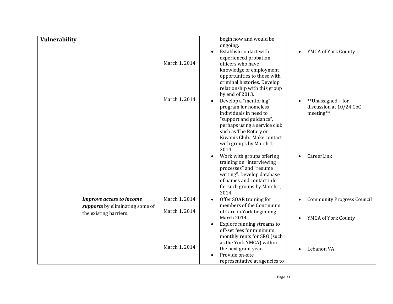| <b>Vulnerability</b> |                                                                                              | March 1, 2014                  | begin now and would be<br>ongoing.<br>Establish contact with<br>experienced probation<br>officers who have<br>knowledge of employment<br>opportunities to those with<br>criminal histories. Develop<br>relationship with this group<br>by end of 2013. | YMCA of York County                                        |
|----------------------|----------------------------------------------------------------------------------------------|--------------------------------|--------------------------------------------------------------------------------------------------------------------------------------------------------------------------------------------------------------------------------------------------------|------------------------------------------------------------|
|                      |                                                                                              | March 1, 2014                  | Develop a "mentoring"<br>$\bullet$<br>program for homeless<br>individuals in need to<br>"support and guidance",<br>perhaps using a service club<br>such as The Rotary or<br>Kiwanis Club. Make contact<br>with groups by March 1,<br>2014.             | **Unassigned - for<br>discussion at 10/24 CoC<br>meeting** |
|                      |                                                                                              |                                | Work with groups offering<br>$\bullet$<br>training on "interviewing<br>processes" and "resume<br>writing". Develop database<br>of names and contact info<br>for such groups by March 1,<br>2014.                                                       | CareerLink                                                 |
|                      | <b>Improve access to income</b><br>supports by eliminating some of<br>the existing barriers. | March 1, 2014<br>March 1, 2014 | Offer SOAR training for<br>$\bullet$<br>members of the Continuum<br>of Care in York beginning                                                                                                                                                          | <b>Community Progress Council</b><br>$\bullet$             |
|                      |                                                                                              |                                | March 2014.<br>Explore funding streams to<br>$\bullet$<br>off-set fees for minimum<br>monthly rents for SRO (such<br>as the York YMCA) within                                                                                                          | YMCA of York County<br>$\bullet$                           |
|                      |                                                                                              | March 1, 2014                  | the next grant year.<br>Provide on-site<br>representative at agencies to                                                                                                                                                                               | Lebanon VA                                                 |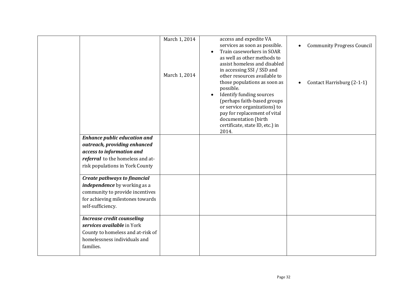|                                     | March 1, 2014<br>March 1, 2014 | access and expedite VA<br>services as soon as possible.<br>Train caseworkers in SOAR<br>$\bullet$<br>as well as other methods to<br>assist homeless and disabled<br>in accessing SSI / SSD and<br>other resources available to<br>those populations as soon as<br>possible.<br>Identify funding sources<br>$\bullet$<br>(perhaps faith-based groups<br>or service organizations) to<br>pay for replacement of vital<br>documentation (birth<br>certificate, state ID, etc.) in<br>2014. | <b>Community Progress Council</b><br>Contact Harrisburg (2-1-1) |
|-------------------------------------|--------------------------------|-----------------------------------------------------------------------------------------------------------------------------------------------------------------------------------------------------------------------------------------------------------------------------------------------------------------------------------------------------------------------------------------------------------------------------------------------------------------------------------------|-----------------------------------------------------------------|
| <b>Enhance public education and</b> |                                |                                                                                                                                                                                                                                                                                                                                                                                                                                                                                         |                                                                 |
| outreach, providing enhanced        |                                |                                                                                                                                                                                                                                                                                                                                                                                                                                                                                         |                                                                 |
|                                     |                                |                                                                                                                                                                                                                                                                                                                                                                                                                                                                                         |                                                                 |
| access to information and           |                                |                                                                                                                                                                                                                                                                                                                                                                                                                                                                                         |                                                                 |
| referral to the homeless and at-    |                                |                                                                                                                                                                                                                                                                                                                                                                                                                                                                                         |                                                                 |
| risk populations in York County     |                                |                                                                                                                                                                                                                                                                                                                                                                                                                                                                                         |                                                                 |
| Create pathways to financial        |                                |                                                                                                                                                                                                                                                                                                                                                                                                                                                                                         |                                                                 |
| independence by working as a        |                                |                                                                                                                                                                                                                                                                                                                                                                                                                                                                                         |                                                                 |
| community to provide incentives     |                                |                                                                                                                                                                                                                                                                                                                                                                                                                                                                                         |                                                                 |
| for achieving milestones towards    |                                |                                                                                                                                                                                                                                                                                                                                                                                                                                                                                         |                                                                 |
| self-sufficiency.                   |                                |                                                                                                                                                                                                                                                                                                                                                                                                                                                                                         |                                                                 |
| <b>Increase credit counseling</b>   |                                |                                                                                                                                                                                                                                                                                                                                                                                                                                                                                         |                                                                 |
| services available in York          |                                |                                                                                                                                                                                                                                                                                                                                                                                                                                                                                         |                                                                 |
| County to homeless and at-risk of   |                                |                                                                                                                                                                                                                                                                                                                                                                                                                                                                                         |                                                                 |
| homelessness individuals and        |                                |                                                                                                                                                                                                                                                                                                                                                                                                                                                                                         |                                                                 |
| families.                           |                                |                                                                                                                                                                                                                                                                                                                                                                                                                                                                                         |                                                                 |
|                                     |                                |                                                                                                                                                                                                                                                                                                                                                                                                                                                                                         |                                                                 |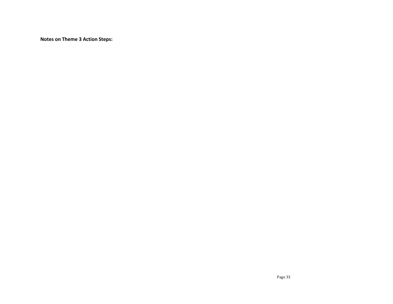**Notes on Theme 3 Action Steps:**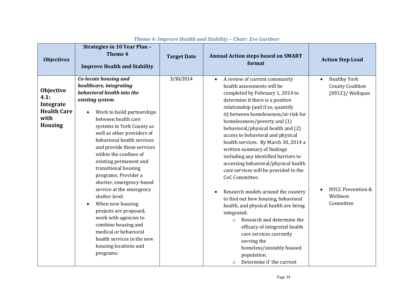| <b>Objectives</b>                                                              | <b>Strategies in 10 Year Plan -</b><br>Theme 4<br><b>Improve Health and Stability</b>                                                                                                                                                                                                                                                                                                                                                                                                                                                                                                                                                                   | <b>Target Date</b> | <b>Annual Action steps based on SMART</b><br>format                                                                                                                                                                                                                                                                                                                                                                                                                                                                                                                                                                                                                                                                                                                                                                                                                                                    | <b>Action Step Lead</b>                                                                                                                  |
|--------------------------------------------------------------------------------|---------------------------------------------------------------------------------------------------------------------------------------------------------------------------------------------------------------------------------------------------------------------------------------------------------------------------------------------------------------------------------------------------------------------------------------------------------------------------------------------------------------------------------------------------------------------------------------------------------------------------------------------------------|--------------------|--------------------------------------------------------------------------------------------------------------------------------------------------------------------------------------------------------------------------------------------------------------------------------------------------------------------------------------------------------------------------------------------------------------------------------------------------------------------------------------------------------------------------------------------------------------------------------------------------------------------------------------------------------------------------------------------------------------------------------------------------------------------------------------------------------------------------------------------------------------------------------------------------------|------------------------------------------------------------------------------------------------------------------------------------------|
| Objective<br>4.1:<br>Integrate<br><b>Health Care</b><br>with<br><b>Housing</b> | Co-locate housing and<br>healthcare, integrating<br>behavioral health into the<br>existing system.<br>Work to build partnerships<br>between health care<br>systems in York County as<br>well as other providers of<br>behavioral health services<br>and provide those services<br>within the confines of<br>existing permanent and<br>transitional housing<br>programs. Provider a<br>shorter, emergency-based<br>service at the emergency<br>shelter level.<br>When new housing<br>projects are proposed,<br>work with agencies to<br>combine housing and<br>medical or behavioral<br>health services in the new<br>housing locations and<br>programs. | 3/30/2014          | A review of current community<br>$\bullet$<br>health assessments will be<br>completed by February 1, 2014 to<br>determine if there is a positive<br>relationship (and if so, quantify<br>it) between homelessness/at-risk for<br>homelessness/poverty and (1)<br>behavioral/physical health and (2)<br>access to behavioral and physical<br>health services. By March 30, 2014 a<br>written summary of findings<br>including any identified barriers to<br>accessing behavioral/physical health<br>care services will be provided to the<br>CoC Committee.<br>Research models around the country<br>to find out how housing, behavioral<br>health, and physical health are being<br>integrated.<br>Research and determine the<br>$\Omega$<br>efficacy of integrated health<br>care services currently<br>serving the<br>homeless/unstably housed<br>population.<br>Determine if the current<br>$\circ$ | <b>Healthy York</b><br>$\bullet$<br><b>County Coalition</b><br>(HYCC)/ Wellspan<br><b>HYCC Prevention &amp;</b><br>Wellness<br>Committee |

# *Theme 4: Improve Health and Stability – Chair: Eve Gardner*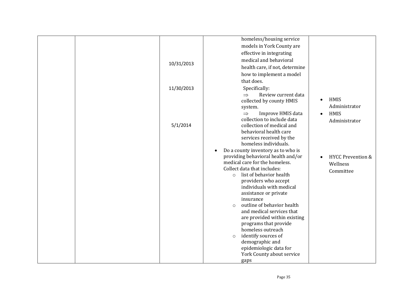| 10/31/2013 | homeless/housing service<br>models in York County are<br>effective in integrating<br>medical and behavioral<br>health care, if not, determine<br>how to implement a model<br>that does.                                                                                                                                                                                                                                                                                                                                                                                                                                                                                             |                                                                                     |
|------------|-------------------------------------------------------------------------------------------------------------------------------------------------------------------------------------------------------------------------------------------------------------------------------------------------------------------------------------------------------------------------------------------------------------------------------------------------------------------------------------------------------------------------------------------------------------------------------------------------------------------------------------------------------------------------------------|-------------------------------------------------------------------------------------|
| 11/30/2013 | Specifically:<br>Review current data<br>$\Rightarrow$<br>collected by county HMIS<br>system.<br>Improve HMIS data<br>$\Rightarrow$                                                                                                                                                                                                                                                                                                                                                                                                                                                                                                                                                  | HMIS<br>$\bullet$<br>Administrator<br>HMIS<br>$\bullet$                             |
| 5/1/2014   | collection to include data<br>collection of medical and<br>behavioral health care<br>services received by the<br>homeless individuals.<br>Do a county inventory as to who is<br>providing behavioral health and/or<br>medical care for the homeless.<br>Collect data that includes:<br>list of behavior health<br>$\circ$<br>providers who accept<br>individuals with medical<br>assistance or private<br>insurance<br>outline of behavior health<br>$\circ$<br>and medical services that<br>are provided within existing<br>programs that provide<br>homeless outreach<br>identify sources of<br>$\circ$<br>demographic and<br>epidemiologic data for<br>York County about service | Administrator<br><b>HYCC Prevention &amp;</b><br>$\bullet$<br>Wellness<br>Committee |
|            | gaps                                                                                                                                                                                                                                                                                                                                                                                                                                                                                                                                                                                                                                                                                |                                                                                     |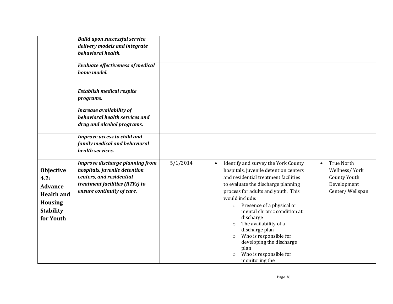|                                                                                                                    | <b>Build upon successful service</b><br>delivery models and integrate<br>behavioral health.<br><b>Evaluate effectiveness of medical</b><br>home model.              |          |                                                                                                                                                                                                                                                                                                                                                                                                                                                                                                           |                                                                                                          |
|--------------------------------------------------------------------------------------------------------------------|---------------------------------------------------------------------------------------------------------------------------------------------------------------------|----------|-----------------------------------------------------------------------------------------------------------------------------------------------------------------------------------------------------------------------------------------------------------------------------------------------------------------------------------------------------------------------------------------------------------------------------------------------------------------------------------------------------------|----------------------------------------------------------------------------------------------------------|
|                                                                                                                    | <b>Establish medical respite</b><br>programs.                                                                                                                       |          |                                                                                                                                                                                                                                                                                                                                                                                                                                                                                                           |                                                                                                          |
|                                                                                                                    | <b>Increase availability of</b><br>behavioral health services and<br>drug and alcohol programs.                                                                     |          |                                                                                                                                                                                                                                                                                                                                                                                                                                                                                                           |                                                                                                          |
|                                                                                                                    | Improve access to child and<br>family medical and behavioral<br>health services.                                                                                    |          |                                                                                                                                                                                                                                                                                                                                                                                                                                                                                                           |                                                                                                          |
| <b>Objective</b><br>4.2:<br><b>Advance</b><br><b>Health and</b><br><b>Housing</b><br><b>Stability</b><br>for Youth | <b>Improve discharge planning from</b><br>hospitals, juvenile detention<br>centers, and residential<br>treatment facilities (RTFs) to<br>ensure continuity of care. | 5/1/2014 | Identify and survey the York County<br>$\bullet$<br>hospitals, juvenile detention centers<br>and residential treatment facilities<br>to evaluate the discharge planning<br>process for adults and youth. This<br>would include:<br>Presence of a physical or<br>$\circ$<br>mental chronic condition at<br>discharge<br>The availability of a<br>$\circ$<br>discharge plan<br>Who is responsible for<br>$\circ$<br>developing the discharge<br>plan<br>Who is responsible for<br>$\circ$<br>monitoring the | <b>True North</b><br>$\bullet$<br>Wellness/York<br><b>County Youth</b><br>Development<br>Center/Wellspan |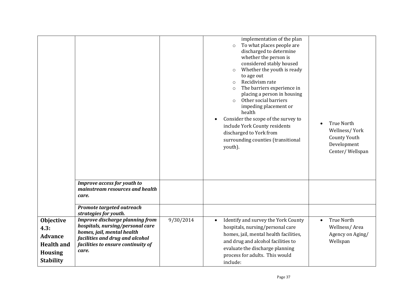|                                                                                                |                                                                                                                                                                                            |           | implementation of the plan<br>To what places people are<br>$\Omega$<br>discharged to determine<br>whether the person is<br>considered stably housed<br>Whether the youth is ready<br>$\circ$<br>to age out<br>Recidivism rate<br>$\Omega$<br>The barriers experience in<br>$\circ$<br>placing a person in housing<br>Other social barriers<br>$\circ$<br>impeding placement or<br>health<br>Consider the scope of the survey to<br>$\bullet$<br>include York County residents<br>discharged to York from<br>surrounding counties (transitional<br>youth). | <b>True North</b><br>Wellness/York<br><b>County Youth</b><br>Development<br>Center/Wellspan |
|------------------------------------------------------------------------------------------------|--------------------------------------------------------------------------------------------------------------------------------------------------------------------------------------------|-----------|-----------------------------------------------------------------------------------------------------------------------------------------------------------------------------------------------------------------------------------------------------------------------------------------------------------------------------------------------------------------------------------------------------------------------------------------------------------------------------------------------------------------------------------------------------------|---------------------------------------------------------------------------------------------|
|                                                                                                | Improve access for youth to<br>mainstream resources and health<br>care.                                                                                                                    |           |                                                                                                                                                                                                                                                                                                                                                                                                                                                                                                                                                           |                                                                                             |
|                                                                                                | Promote targeted outreach<br>strategies for youth.                                                                                                                                         |           |                                                                                                                                                                                                                                                                                                                                                                                                                                                                                                                                                           |                                                                                             |
| Objective<br>4.3:<br><b>Advance</b><br><b>Health and</b><br><b>Housing</b><br><b>Stability</b> | <b>Improve discharge planning from</b><br>hospitals, nursing/personal care<br>homes, jail, mental health<br>facilities and drug and alcohol<br>facilities to ensure continuity of<br>care. | 9/30/2014 | Identify and survey the York County<br>$\bullet$<br>hospitals, nursing/personal care<br>homes, jail, mental health facilities,<br>and drug and alcohol facilities to<br>evaluate the discharge planning<br>process for adults. This would<br>include:                                                                                                                                                                                                                                                                                                     | <b>True North</b><br>$\bullet$<br>Wellness/Area<br>Agency on Aging/<br>Wellspan             |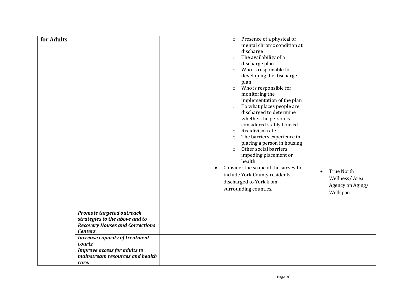| for Adults |                                                                                                       | $\circ$<br>$\circ$<br>$\circ$<br>$\circ$<br>$\circ$<br>$\circ$<br>$\circ$<br>$\circ$<br>$\bullet$ | Presence of a physical or<br>mental chronic condition at<br>discharge<br>The availability of a<br>discharge plan<br>Who is responsible for<br>developing the discharge<br>plan<br>Who is responsible for<br>monitoring the<br>implementation of the plan<br>To what places people are<br>discharged to determine<br>whether the person is<br>considered stably housed<br>Recidivism rate<br>The barriers experience in<br>placing a person in housing<br>Other social barriers<br>impeding placement or<br>health<br>Consider the scope of the survey to<br>include York County residents<br>discharged to York from<br>surrounding counties. | <b>True North</b><br>$\bullet$<br>Wellness/Area<br>Agency on Aging/<br>Wellspan |
|------------|-------------------------------------------------------------------------------------------------------|---------------------------------------------------------------------------------------------------|-----------------------------------------------------------------------------------------------------------------------------------------------------------------------------------------------------------------------------------------------------------------------------------------------------------------------------------------------------------------------------------------------------------------------------------------------------------------------------------------------------------------------------------------------------------------------------------------------------------------------------------------------|---------------------------------------------------------------------------------|
| Centers.   | Promote targeted outreach<br>strategies to the above and to<br><b>Recovery Houses and Corrections</b> |                                                                                                   |                                                                                                                                                                                                                                                                                                                                                                                                                                                                                                                                                                                                                                               |                                                                                 |
| courts.    | <b>Increase capacity of treatment</b>                                                                 |                                                                                                   |                                                                                                                                                                                                                                                                                                                                                                                                                                                                                                                                                                                                                                               |                                                                                 |
| care.      | Improve access for adults to<br>mainstream resources and health                                       |                                                                                                   |                                                                                                                                                                                                                                                                                                                                                                                                                                                                                                                                                                                                                                               |                                                                                 |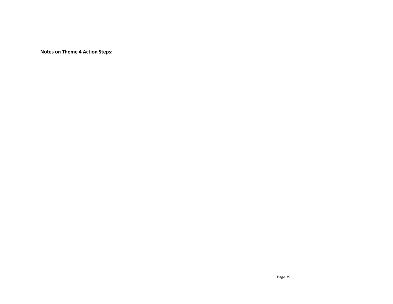**Notes on Theme 4 Action Steps:**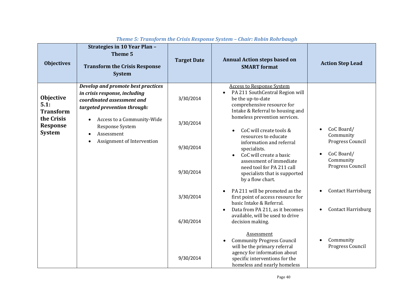| <b>Objectives</b>                                                                       | Strategies in 10 Year Plan -<br>Theme 5<br><b>Transform the Crisis Response</b><br><b>System</b>                                                                                                                                                                      | <b>Target Date</b>                                            | <b>Annual Action steps based on</b><br><b>SMART</b> format                                                                                                                                                                                                                                                                                                                                                                                                                                                                                                                | <b>Action Step Lead</b>                                                                                                                                                        |
|-----------------------------------------------------------------------------------------|-----------------------------------------------------------------------------------------------------------------------------------------------------------------------------------------------------------------------------------------------------------------------|---------------------------------------------------------------|---------------------------------------------------------------------------------------------------------------------------------------------------------------------------------------------------------------------------------------------------------------------------------------------------------------------------------------------------------------------------------------------------------------------------------------------------------------------------------------------------------------------------------------------------------------------------|--------------------------------------------------------------------------------------------------------------------------------------------------------------------------------|
| Objective<br>5.1:<br><b>Transform</b><br>the Crisis<br><b>Response</b><br><b>System</b> | Develop and promote best practices<br>in crisis response, including<br>coordinated assessment and<br>targeted prevention through:<br>Access to a Community-Wide<br>$\bullet$<br>Response System<br>Assessment<br>$\bullet$<br>Assignment of Intervention<br>$\bullet$ | 3/30/2014<br>3/30/2014<br>9/30/2014<br>9/30/2014<br>3/30/2014 | <b>Access to Response System</b><br>PA 211 SouthCentral Region will<br>be the up-to-date<br>comprehensive resource for<br>Intake & Referral to housing and<br>homeless prevention services.<br>CoC will create tools &<br>resources to educate<br>information and referral<br>specialists.<br>CoC will create a basic<br>assessment of immediate<br>need tool for PA 211 call<br>specialists that is supported<br>by a flow chart.<br>PA 211 will be promoted as the<br>first point of access resource for<br>basic Intake & Referral.<br>Data from PA 211, as it becomes | CoC Board/<br>Community<br>Progress Council<br>CoC Board/<br>Community<br>Progress Council<br><b>Contact Harrisburg</b><br>$\bullet$<br><b>Contact Harrisburg</b><br>$\bullet$ |
|                                                                                         |                                                                                                                                                                                                                                                                       | 6/30/2014<br>9/30/2014                                        | available, will be used to drive<br>decision making.<br>Assessment<br><b>Community Progress Council</b><br>will be the primary referral<br>agency for information about<br>specific interventions for the<br>homeless and nearly homeless                                                                                                                                                                                                                                                                                                                                 | Community<br>$\bullet$<br>Progress Council                                                                                                                                     |

#### *Theme 5: Transform the Crisis Response System – Chair: Robin Rohrbaugh*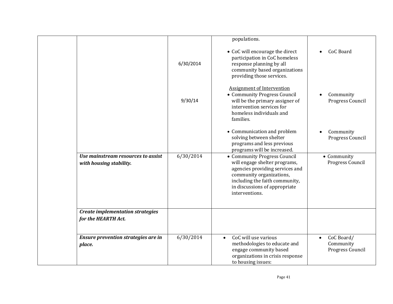|                                                                |           | populations.                                                                                                                                                                                                      |                                                          |
|----------------------------------------------------------------|-----------|-------------------------------------------------------------------------------------------------------------------------------------------------------------------------------------------------------------------|----------------------------------------------------------|
|                                                                | 6/30/2014 | • CoC will encourage the direct<br>participation in CoC homeless<br>response planning by all<br>community based organizations<br>providing those services.                                                        | CoC Board<br>$\bullet$                                   |
|                                                                | 9/30/14   | <b>Assignment of Intervention</b><br>• Community Progress Council<br>will be the primary assigner of<br>intervention services for<br>homeless individuals and<br>families.                                        | Community<br>$\bullet$<br>Progress Council               |
|                                                                |           | • Communication and problem<br>solving between shelter<br>programs and less previous<br>programs will be increased.                                                                                               | Community<br>$\bullet$<br>Progress Council               |
| Use mainstream resources to assist<br>with housing stability.  | 6/30/2014 | • Community Progress Council<br>will engage shelter programs,<br>agencies providing services and<br>community organizations,<br>including the faith community,<br>in discussions of appropriate<br>interventions. | • Community<br>Progress Council                          |
| <b>Create implementation strategies</b><br>for the HEARTH Act. |           |                                                                                                                                                                                                                   |                                                          |
| Ensure prevention strategies are in<br>place.                  | 6/30/2014 | CoC will use various<br>$\bullet$<br>methodologies to educate and<br>engage community based<br>organizations in crisis response<br>to housing issues:                                                             | CoC Board/<br>$\bullet$<br>Community<br>Progress Council |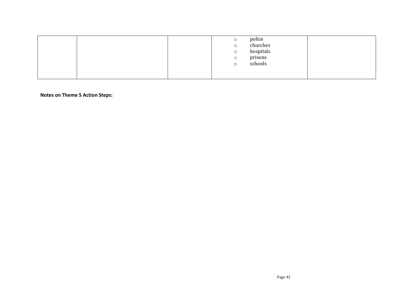|  | $\circ$<br>$\circ$<br>$\circ$<br>$\circ$<br>$\circ$ | police<br>churches<br>hospitals<br>prisons<br>schools |  |
|--|-----------------------------------------------------|-------------------------------------------------------|--|
|  |                                                     |                                                       |  |

**Notes on Theme 5 Action Steps:**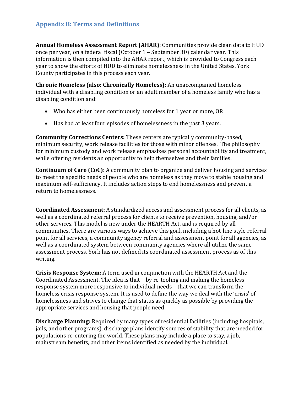# **Appendix B: Terms and Definitions**

**Annual Homeless Assessment Report (AHAR)**: Communities provide clean data to HUD once per year, on a federal fiscal (October 1 – September 30) calendar year. This information is then compiled into the AHAR report, which is provided to Congress each year to show the efforts of HUD to eliminate homelessness in the United States. York County participates in this process each year.

**Chronic Homeless (also: Chronically Homeless):** An unaccompanied homeless individual with a disabling condition or an adult member of a homeless family who has a disabling condition and:

- Who has either been continuously homeless for 1 year or more, OR
- Has had at least four episodes of homelessness in the past 3 years.

**Community Corrections Centers:** These centers are typically community-based, minimum security, work release facilities for those with minor offenses. The philosophy for minimum custody and work release emphasizes personal accountability and treatment, while offering residents an opportunity to help themselves and their families.

**Continuum of Care (CoC):** A community plan to organize and deliver housing and services to meet the specific needs of people who are homeless as they move to stable housing and maximum self-sufficiency. It includes action steps to end homelessness and prevent a return to homelessness.

**Coordinated Assessment:** A standardized access and assessment process for all clients, as well as a coordinated referral process for clients to receive prevention, housing, and/or other services. This model is new under the HEARTH Act, and is required by all communities. There are various ways to achieve this goal, including a hot-line style referral point for all services, a community agency referral and assessment point for all agencies, as well as a coordinated system between community agencies where all utilize the same assessment process. York has not defined its coordinated assessment process as of this writing.

**Crisis Response System:** A term used in conjunction with the HEARTH Act and the Coordinated Assessment. The idea is that – by re-tooling and making the homeless response system more responsive to individual needs – that we can transform the homeless crisis response system. It is used to define the way we deal with the 'crisis' of homelessness and strives to change that status as quickly as possible by providing the appropriate services and housing that people need.

**Discharge Planning:** Required by many types of residential facilities (including hospitals, jails, and other programs), discharge plans identify sources of stability that are needed for populations re-entering the world. These plans may include a place to stay, a job, mainstream benefits, and other items identified as needed by the individual.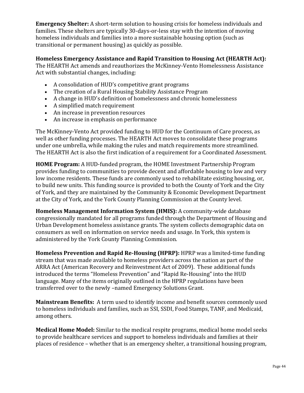**Emergency Shelter:** A short-term solution to housing crisis for homeless individuals and families. These shelters are typically 30-days-or-less stay with the intention of moving homeless individuals and families into a more sustainable housing option (such as transitional or permanent housing) as quickly as possible.

**Homeless Emergency Assistance and Rapid Transition to Housing Act (HEARTH Act):**  The HEARTH Act amends and reauthorizes the McKinney-Vento Homelessness Assistance

Act with substantial changes, including:

- A consolidation of HUD's competitive grant programs
- The creation of a Rural Housing Stability Assistance Program
- A change in HUD's definition of homelessness and chronic homelessness
- A simplified match requirement
- An increase in prevention resources
- An increase in emphasis on performance

The McKinney-Vento Act provided funding to HUD for the Continuum of Care process, as well as other funding processes. The HEARTH Act moves to consolidate these programs under one umbrella, while making the rules and match requirements more streamlined. The HEARTH Act is also the first indication of a requirement for a Coordinated Assessment.

**HOME Program:** A HUD-funded program, the HOME Investment Partnership Program provides funding to communities to provide decent and affordable housing to low and very low income residents. These funds are commonly used to rehabilitate existing housing, or, to build new units. This funding source is provided to both the County of York and the City of York, and they are maintained by the Community & Economic Development Department at the City of York, and the York County Planning Commission at the County level.

**Homeless Management Information System (HMIS):** A community-wide database congressionally mandated for all programs funded through the Department of Housing and Urban Development homeless assistance grants. The system collects demographic data on consumers as well on information on service needs and usage. In York, this system is administered by the York County Planning Commission.

**Homeless Prevention and Rapid Re-Housing (HPRP):** HPRP was a limited-time funding stream that was made available to homeless providers across the nation as part of the ARRA Act (American Recovery and Reinvestment Act of 2009). These additional funds introduced the terms "Homeless Prevention" and "Rapid Re-Housing" into the HUD language. Many of the items originally outlined in the HPRP regulations have been transferred over to the newly –named Emergency Solutions Grant.

**Mainstream Benefits:** A term used to identify income and benefit sources commonly used to homeless individuals and families, such as SSI, SSDI, Food Stamps, TANF, and Medicaid, among others.

**Medical Home Model:** Similar to the medical respite programs, medical home model seeks to provide healthcare services and support to homeless individuals and families at their places of residence – whether that is an emergency shelter, a transitional housing program,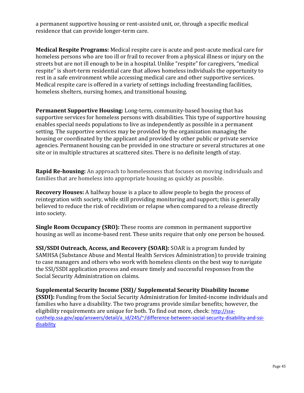a permanent supportive housing or rent-assisted unit, or, through a specific medical residence that can provide longer-term care.

**Medical Respite Programs:** Medical respite care is acute and post-acute medical care for homeless persons who are too ill or frail to recover from a physical illness or injury on the streets but are not ill enough to be in a hospital. Unlike "respite" for caregivers, "medical respite" is short-term residential care that allows homeless individuals the opportunity to rest in a safe environment while accessing medical care and other supportive services. Medical respite care is offered in a variety of settings including freestanding facilities, homeless shelters, nursing homes, and transitional housing.

**Permanent Supportive Housing:** Long-term, community-based housing that has supportive services for homeless persons with disabilities. This type of supportive housing enables special needs populations to live as independently as possible in a permanent setting. The supportive services may be provided by the organization managing the housing or coordinated by the applicant and provided by other public or private service agencies. Permanent housing can be provided in one structure or several structures at one site or in multiple structures at scattered sites. There is no definite length of stay.

**Rapid Re-housing:** An approach to homelessness that focuses on moving individuals and families that are homeless into appropriate housing as quickly as possible.

**Recovery Houses:** A halfway house is a place to allow people to begin the process of reintegration with society, while still providing monitoring and support; this is generally believed to reduce the risk of [recidivism](http://en.wikipedia.org/wiki/Recidivism) or [relapse](http://en.wikipedia.org/wiki/Relapse) when compared to a release directly into society.

**Single Room Occupancy (SRO):** These rooms are common in permanent supportive housing as well as income-based rent. These units require that only one person be housed.

**SSI/SSDI Outreach, Access, and Recovery (SOAR):** SOAR is a program funded by SAMHSA (Substance Abuse and Mental Health Services Administration) to provide training to case managers and others who work with homeless clients on the best way to navigate the SSI/SSDI application process and ensure timely and successful responses from the Social Security Administration on claims.

**Supplemental Security Income (SSI)/ Supplemental Security Disability Income (SSDI):** Funding from the Social Security Administration for limited-income individuals and families who have a disability. The two programs provide similar benefits; however, the eligibility requirements are unique for both. To find out more, check: [http://ssa](http://ssa-custhelp.ssa.gov/app/answers/detail/a_id/245/~/difference-between-social-security-disability-and-ssi-disability)[custhelp.ssa.gov/app/answers/detail/a\\_id/245/~/difference-between-social-security-disability-and-ssi](http://ssa-custhelp.ssa.gov/app/answers/detail/a_id/245/~/difference-between-social-security-disability-and-ssi-disability)[disability](http://ssa-custhelp.ssa.gov/app/answers/detail/a_id/245/~/difference-between-social-security-disability-and-ssi-disability)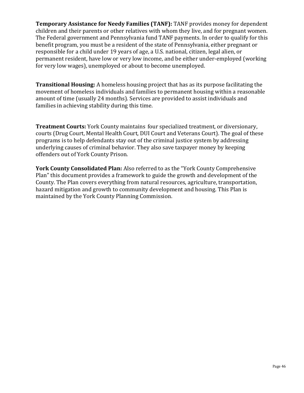**Temporary Assistance for Needy Families (TANF):** TANF provides money for dependent children and their parents or other relatives with whom they live, and for pregnant women. The Federal government and Pennsylvania fund TANF payments. In order to qualify for this benefit program, you must be a resident of the state of Pennsylvania, either pregnant or responsible for a child under 19 years of age, a U.S. national, citizen, legal alien, or permanent resident, have low or very low income, and be either under-employed (working for very low wages), unemployed or about to become unemployed.

**Transitional Housing:** A homeless housing project that has as its purpose facilitating the movement of homeless individuals and families to permanent housing within a reasonable amount of time (usually 24 months). Services are provided to assist individuals and families in achieving stability during this time.

**Treatment Courts:** York County maintains four specialized treatment, or diversionary, courts (Drug Court, Mental Health Court, DUI Court and Veterans Court). The goal of these programs is to help defendants stay out of the criminal justice system by addressing underlying causes of criminal behavior. They also save taxpayer money by keeping offenders out of York County Prison.

**York County Consolidated Plan:** Also referred to as the "York County Comprehensive Plan" this document provides a framework to guide the growth and development of the County. The Plan covers everything from natural resources, agriculture, transportation, hazard mitigation and growth to community development and housing. This Plan is maintained by the York County Planning Commission.